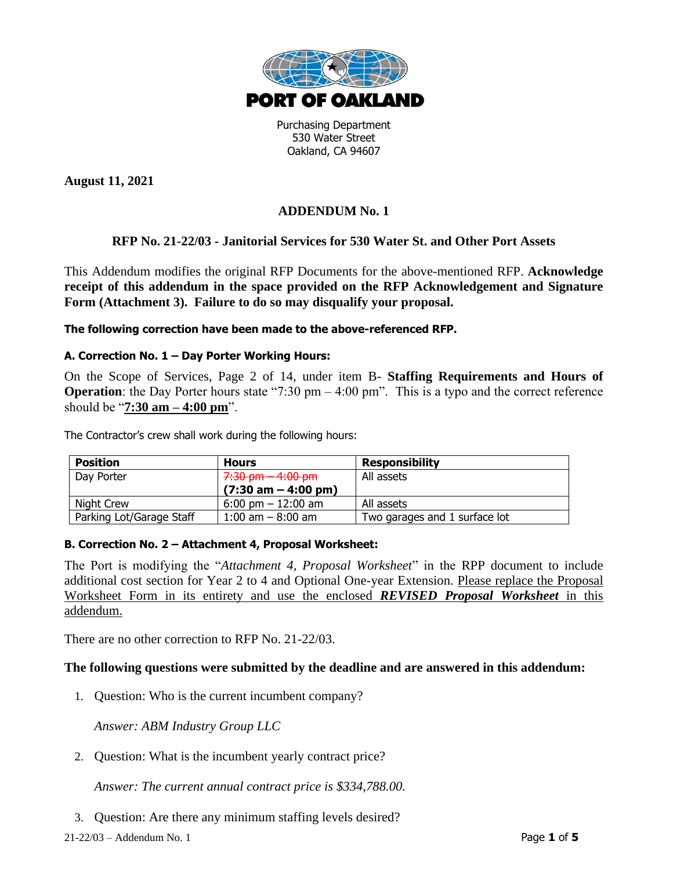

Purchasing Department 530 Water Street Oakland, CA 94607

**August 11, 2021**

# **ADDENDUM No. 1**

# **RFP No. 21-22/03 - Janitorial Services for 530 Water St. and Other Port Assets**

This Addendum modifies the original RFP Documents for the above-mentioned RFP. **Acknowledge receipt of this addendum in the space provided on the RFP Acknowledgement and Signature Form (Attachment 3). Failure to do so may disqualify your proposal.**

**The following correction have been made to the above-referenced RFP.**

### **A. Correction No. 1 – Day Porter Working Hours:**

On the Scope of Services, Page 2 of 14, under item B- **Staffing Requirements and Hours of Operation**: the Day Porter hours state "7:30 pm – 4:00 pm". This is a typo and the correct reference should be "**7:30 am – 4:00 pm**".

The Contractor's crew shall work during the following hours:

| <b>Position</b>          | <b>Hours</b>                          | <b>Responsibility</b>         |
|--------------------------|---------------------------------------|-------------------------------|
| Day Porter               | 7:30 pm - 4:00 pm                     | All assets                    |
|                          | $(7:30 \text{ am} - 4:00 \text{ pm})$ |                               |
| Night Crew               | $6:00 \text{ pm} - 12:00 \text{ am}$  | All assets                    |
| Parking Lot/Garage Staff | $1:00$ am $-8:00$ am                  | Two garages and 1 surface lot |

### **B. Correction No. 2 – Attachment 4, Proposal Worksheet:**

The Port is modifying the "*Attachment 4, Proposal Worksheet*" in the RPP document to include additional cost section for Year 2 to 4 and Optional One-year Extension. Please replace the Proposal Worksheet Form in its entirety and use the enclosed *REVISED Proposal Worksheet* in this addendum.

There are no other correction to RFP No. 21-22/03.

### **The following questions were submitted by the deadline and are answered in this addendum:**

1. Question: Who is the current incumbent company?

*Answer: ABM Industry Group LLC*

2. Question: What is the incumbent yearly contract price?

*Answer: The current annual contract price is \$334,788.00.*

3. Question: Are there any minimum staffing levels desired?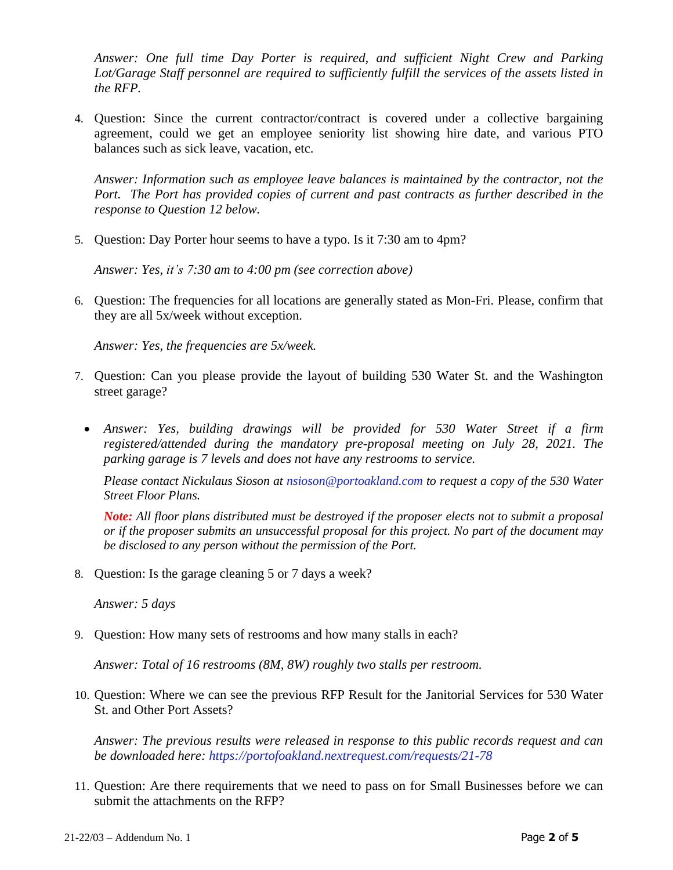*Answer: One full time Day Porter is required, and sufficient Night Crew and Parking Lot/Garage Staff personnel are required to sufficiently fulfill the services of the assets listed in the RFP.*

4. Question: Since the current contractor/contract is covered under a collective bargaining agreement, could we get an employee seniority list showing hire date, and various PTO balances such as sick leave, vacation, etc.

*Answer: Information such as employee leave balances is maintained by the contractor, not the Port. The Port has provided copies of current and past contracts as further described in the response to Question 12 below.* 

5. Question: Day Porter hour seems to have a typo. Is it 7:30 am to 4pm?

*Answer: Yes, it's 7:30 am to 4:00 pm (see correction above)*

6. Question: The frequencies for all locations are generally stated as Mon-Fri. Please, confirm that they are all 5x/week without exception.

*Answer: Yes, the frequencies are 5x/week.*

- 7. Question: Can you please provide the layout of building 530 Water St. and the Washington street garage?
	- *Answer: Yes, building drawings will be provided for 530 Water Street if a firm registered/attended during the mandatory pre-proposal meeting on July 28, 2021. The parking garage is 7 levels and does not have any restrooms to service.*

*Please contact Nickulaus Sioson at [nsioson@portoakland.com](mailto:nsioson@portoakland.com) to request a copy of the 530 Water Street Floor Plans.*

*Note: All floor plans distributed must be destroyed if the proposer elects not to submit a proposal or if the proposer submits an unsuccessful proposal for this project. No part of the document may be disclosed to any person without the permission of the Port.*

8. Question: Is the garage cleaning 5 or 7 days a week?

*Answer: 5 days*

9. Question: How many sets of restrooms and how many stalls in each?

*Answer: Total of 16 restrooms (8M, 8W) roughly two stalls per restroom.*

10. Question: Where we can see the previous RFP Result for the Janitorial Services for 530 Water St. and Other Port Assets?

*Answer: The previous results were released in response to this public records request and can be downloaded here:<https://portofoakland.nextrequest.com/requests/21-78>*

11. Question: Are there requirements that we need to pass on for Small Businesses before we can submit the attachments on the RFP?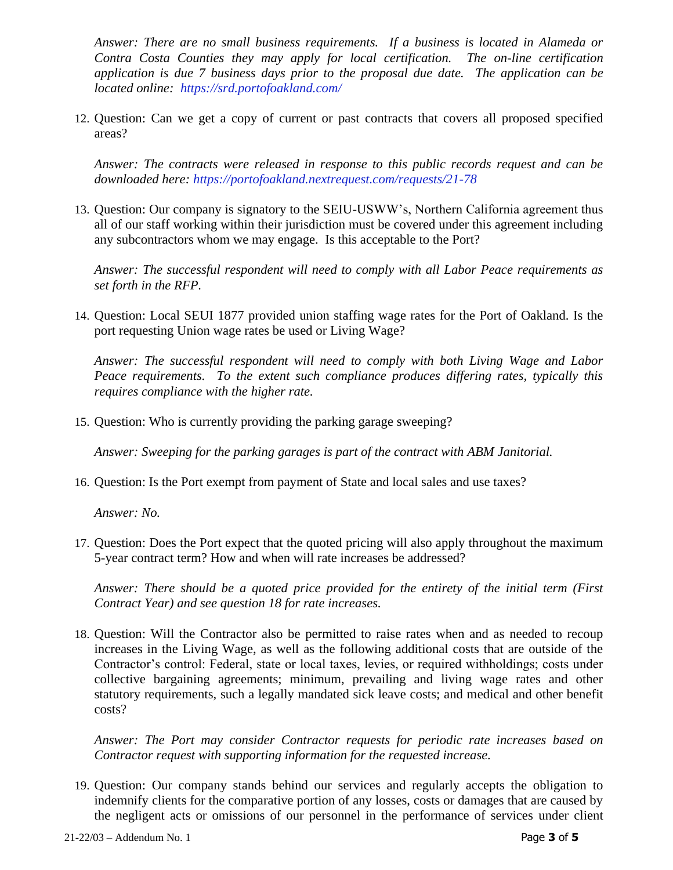*Answer: There are no small business requirements. If a business is located in Alameda or Contra Costa Counties they may apply for local certification. The on-line certification application is due 7 business days prior to the proposal due date. The application can be located online: <https://srd.portofoakland.com/>*

12. Question: Can we get a copy of current or past contracts that covers all proposed specified areas?

*Answer: The contracts were released in response to this public records request and can be downloaded here:<https://portofoakland.nextrequest.com/requests/21-78>*

13. Question: Our company is signatory to the SEIU-USWW's, Northern California agreement thus all of our staff working within their jurisdiction must be covered under this agreement including any subcontractors whom we may engage. Is this acceptable to the Port?

*Answer: The successful respondent will need to comply with all Labor Peace requirements as set forth in the RFP.* 

14. Question: Local SEUI 1877 provided union staffing wage rates for the Port of Oakland. Is the port requesting Union wage rates be used or Living Wage?

*Answer: The successful respondent will need to comply with both Living Wage and Labor Peace requirements. To the extent such compliance produces differing rates, typically this requires compliance with the higher rate.*

15. Question: Who is currently providing the parking garage sweeping?

*Answer: Sweeping for the parking garages is part of the contract with ABM Janitorial.*

16. Question: Is the Port exempt from payment of State and local sales and use taxes?

*Answer: No.*

17. Question: Does the Port expect that the quoted pricing will also apply throughout the maximum 5-year contract term? How and when will rate increases be addressed?

*Answer: There should be a quoted price provided for the entirety of the initial term (First Contract Year) and see question 18 for rate increases.*

18. Question: Will the Contractor also be permitted to raise rates when and as needed to recoup increases in the Living Wage, as well as the following additional costs that are outside of the Contractor's control: Federal, state or local taxes, levies, or required withholdings; costs under collective bargaining agreements; minimum, prevailing and living wage rates and other statutory requirements, such a legally mandated sick leave costs; and medical and other benefit costs?

*Answer: The Port may consider Contractor requests for periodic rate increases based on Contractor request with supporting information for the requested increase.* 

19. Question: Our company stands behind our services and regularly accepts the obligation to indemnify clients for the comparative portion of any losses, costs or damages that are caused by the negligent acts or omissions of our personnel in the performance of services under client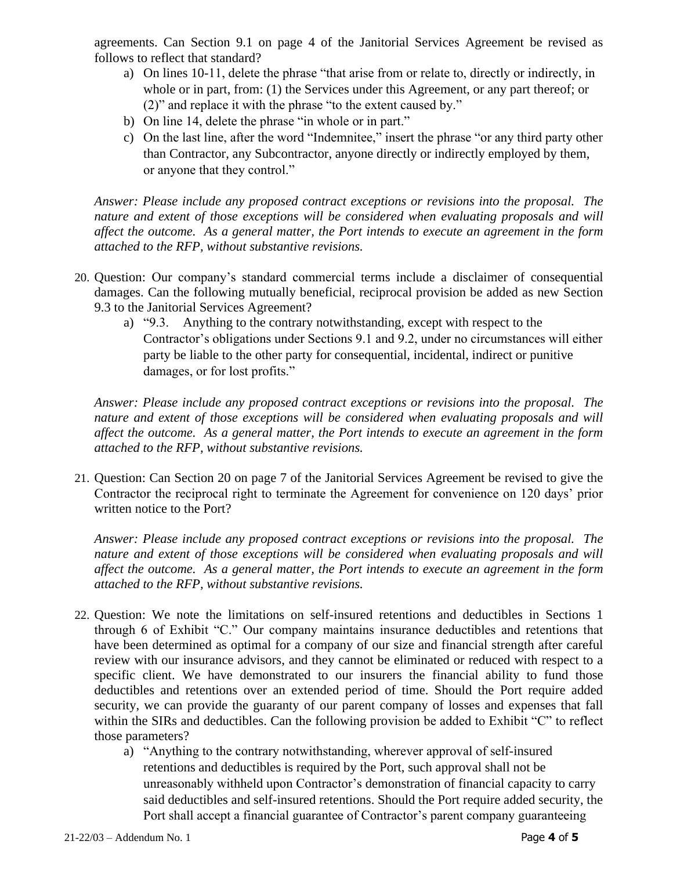agreements. Can Section 9.1 on page 4 of the Janitorial Services Agreement be revised as follows to reflect that standard?

- a) On lines 10-11, delete the phrase "that arise from or relate to, directly or indirectly, in whole or in part, from: (1) the Services under this Agreement, or any part thereof; or (2)" and replace it with the phrase "to the extent caused by."
- b) On line 14, delete the phrase "in whole or in part."
- c) On the last line, after the word "Indemnitee," insert the phrase "or any third party other than Contractor, any Subcontractor, anyone directly or indirectly employed by them, or anyone that they control."

*Answer: Please include any proposed contract exceptions or revisions into the proposal. The nature and extent of those exceptions will be considered when evaluating proposals and will affect the outcome. As a general matter, the Port intends to execute an agreement in the form attached to the RFP, without substantive revisions.*

- 20. Question: Our company's standard commercial terms include a disclaimer of consequential damages. Can the following mutually beneficial, reciprocal provision be added as new Section 9.3 to the Janitorial Services Agreement?
	- a) "9.3. Anything to the contrary notwithstanding, except with respect to the Contractor's obligations under Sections 9.1 and 9.2, under no circumstances will either party be liable to the other party for consequential, incidental, indirect or punitive damages, or for lost profits."

*Answer: Please include any proposed contract exceptions or revisions into the proposal. The*  nature and extent of those exceptions will be considered when evaluating proposals and will *affect the outcome. As a general matter, the Port intends to execute an agreement in the form attached to the RFP, without substantive revisions.*

21. Question: Can Section 20 on page 7 of the Janitorial Services Agreement be revised to give the Contractor the reciprocal right to terminate the Agreement for convenience on 120 days' prior written notice to the Port?

*Answer: Please include any proposed contract exceptions or revisions into the proposal. The nature and extent of those exceptions will be considered when evaluating proposals and will affect the outcome. As a general matter, the Port intends to execute an agreement in the form attached to the RFP, without substantive revisions.*

- 22. Question: We note the limitations on self-insured retentions and deductibles in Sections 1 through 6 of Exhibit "C." Our company maintains insurance deductibles and retentions that have been determined as optimal for a company of our size and financial strength after careful review with our insurance advisors, and they cannot be eliminated or reduced with respect to a specific client. We have demonstrated to our insurers the financial ability to fund those deductibles and retentions over an extended period of time. Should the Port require added security, we can provide the guaranty of our parent company of losses and expenses that fall within the SIRs and deductibles. Can the following provision be added to Exhibit "C" to reflect those parameters?
	- a) "Anything to the contrary notwithstanding, wherever approval of self-insured retentions and deductibles is required by the Port, such approval shall not be unreasonably withheld upon Contractor's demonstration of financial capacity to carry said deductibles and self-insured retentions. Should the Port require added security, the Port shall accept a financial guarantee of Contractor's parent company guaranteeing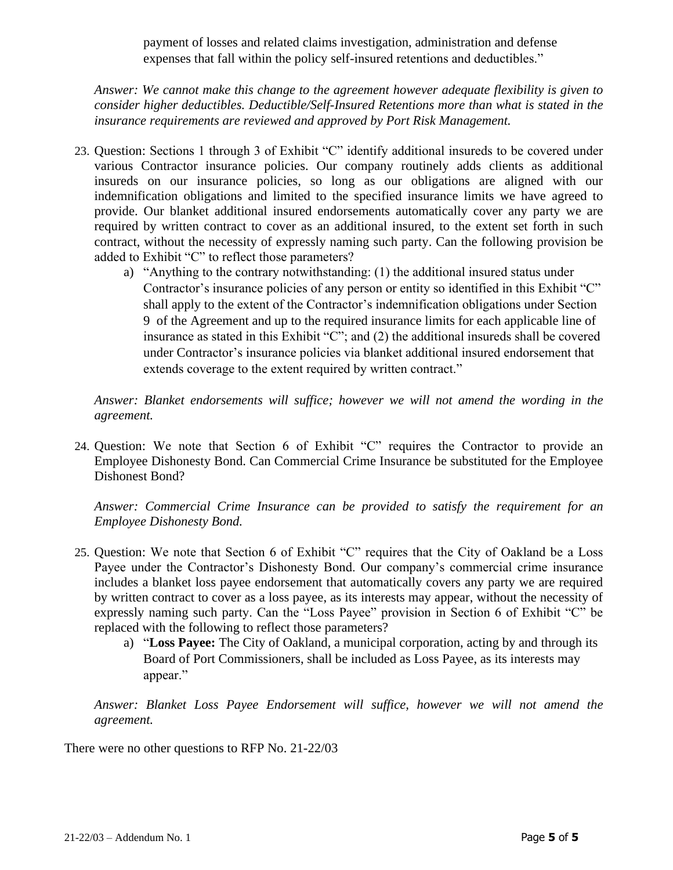payment of losses and related claims investigation, administration and defense expenses that fall within the policy self-insured retentions and deductibles."

*Answer: We cannot make this change to the agreement however adequate flexibility is given to consider higher deductibles. Deductible/Self-Insured Retentions more than what is stated in the insurance requirements are reviewed and approved by Port Risk Management.*

- 23. Question: Sections 1 through 3 of Exhibit "C" identify additional insureds to be covered under various Contractor insurance policies. Our company routinely adds clients as additional insureds on our insurance policies, so long as our obligations are aligned with our indemnification obligations and limited to the specified insurance limits we have agreed to provide. Our blanket additional insured endorsements automatically cover any party we are required by written contract to cover as an additional insured, to the extent set forth in such contract, without the necessity of expressly naming such party. Can the following provision be added to Exhibit "C" to reflect those parameters?
	- a) "Anything to the contrary notwithstanding: (1) the additional insured status under Contractor's insurance policies of any person or entity so identified in this Exhibit "C" shall apply to the extent of the Contractor's indemnification obligations under Section 9 of the Agreement and up to the required insurance limits for each applicable line of insurance as stated in this Exhibit "C"; and (2) the additional insureds shall be covered under Contractor's insurance policies via blanket additional insured endorsement that extends coverage to the extent required by written contract."

*Answer: Blanket endorsements will suffice; however we will not amend the wording in the agreement.*

24. Question: We note that Section 6 of Exhibit "C" requires the Contractor to provide an Employee Dishonesty Bond. Can Commercial Crime Insurance be substituted for the Employee Dishonest Bond?

*Answer: Commercial Crime Insurance can be provided to satisfy the requirement for an Employee Dishonesty Bond.* 

- 25. Question: We note that Section 6 of Exhibit "C" requires that the City of Oakland be a Loss Payee under the Contractor's Dishonesty Bond. Our company's commercial crime insurance includes a blanket loss payee endorsement that automatically covers any party we are required by written contract to cover as a loss payee, as its interests may appear, without the necessity of expressly naming such party. Can the "Loss Payee" provision in Section 6 of Exhibit "C" be replaced with the following to reflect those parameters?
	- a) "**Loss Payee:** The City of Oakland, a municipal corporation, acting by and through its Board of Port Commissioners, shall be included as Loss Payee, as its interests may appear."

*Answer: Blanket Loss Payee Endorsement will suffice, however we will not amend the agreement.*

There were no other questions to RFP No. 21-22/03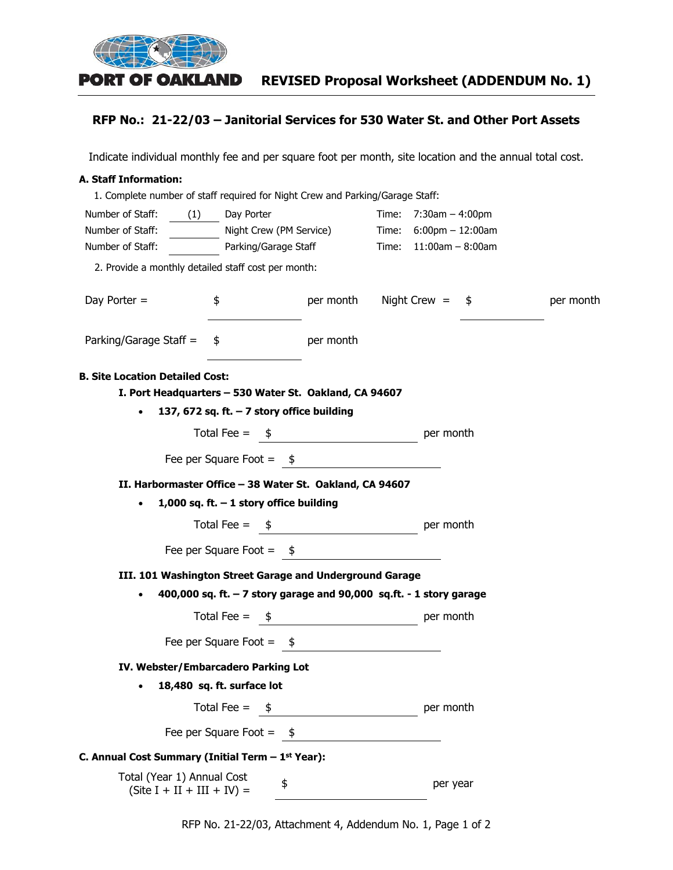

## **RFP No.: 21-22/03 – Janitorial Services for 530 Water St. and Other Port Assets**

Indicate individual monthly fee and per square foot per month, site location and the annual total cost.

#### **A. Staff Information:**

| 1. Complete number of staff required for Night Crew and Parking/Garage Staff: |                         |                             |                                          |           |
|-------------------------------------------------------------------------------|-------------------------|-----------------------------|------------------------------------------|-----------|
| Number of Staff:<br>(1)                                                       | Day Porter              |                             | Time: $7:30am - 4:00pm$                  |           |
| Number of Staff:                                                              | Night Crew (PM Service) |                             | Time: $6:00 \text{pm} - 12:00 \text{am}$ |           |
| Number of Staff:                                                              | Parking/Garage Staff    |                             | Time: $11:00am - 8:00am$                 |           |
| 2. Provide a monthly detailed staff cost per month:                           |                         |                             |                                          |           |
| Day Porter $=$<br>\$                                                          |                         |                             | per month Night Crew = $\frac{1}{2}$     | per month |
| Parking/Garage Staff =<br>\$                                                  |                         | per month                   |                                          |           |
| <b>B. Site Location Detailed Cost:</b>                                        |                         |                             |                                          |           |
| I. Port Headquarters - 530 Water St. Oakland, CA 94607                        |                         |                             |                                          |           |
| 137, 672 sq. ft. $-7$ story office building                                   |                         |                             |                                          |           |
|                                                                               |                         | Total Fee = $\frac{\$}{}$   | per month                                |           |
| Fee per Square Foot = $\frac{\$}{ }$                                          |                         |                             |                                          |           |
| II. Harbormaster Office - 38 Water St. Oakland, CA 94607                      |                         |                             |                                          |           |
| 1,000 sq. ft. $-1$ story office building                                      |                         |                             |                                          |           |
|                                                                               |                         | Total Fee = $\frac{\$}{}$   | per month                                |           |
| Fee per Square Foot = $\quad \quad$ $\quad \quad$                             |                         |                             |                                          |           |
| III. 101 Washington Street Garage and Underground Garage                      |                         |                             |                                          |           |
| 400,000 sq. ft. - 7 story garage and 90,000 sq.ft. - 1 story garage           |                         |                             |                                          |           |
|                                                                               |                         | Total Fee = $\frac{\$}{\$}$ | per month                                |           |
| Fee per Square Foot = $\frac{1}{2}$                                           |                         |                             |                                          |           |
| IV. Webster/Embarcadero Parking Lot                                           |                         |                             |                                          |           |
| 18,480 sq. ft. surface lot                                                    |                         |                             |                                          |           |
| Total Fee $=$                                                                 | - \$                    |                             | per month                                |           |
| Fee per Square Foot = $$$                                                     |                         |                             |                                          |           |
| C. Annual Cost Summary (Initial Term $-1st$ Year):                            |                         |                             |                                          |           |
| Total (Year 1) Annual Cost<br>$(Site I + II + III + IV) =$                    | \$                      |                             | per year                                 |           |